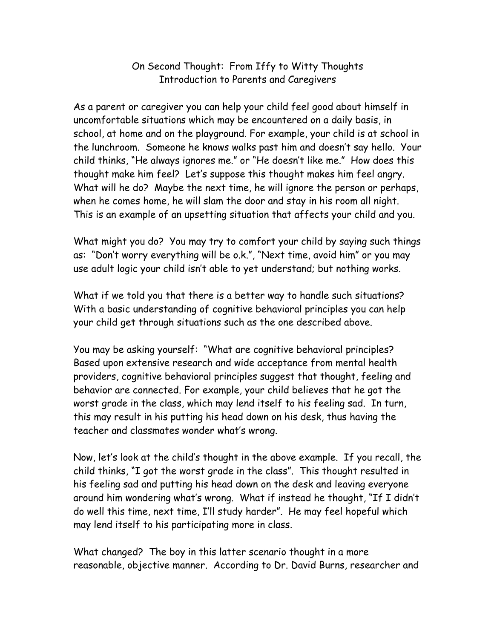## On Second Thought: From Iffy to Witty Thoughts Introduction to Parents and Caregivers

As a parent or caregiver you can help your child feel good about himself in uncomfortable situations which may be encountered on a daily basis, in school, at home and on the playground. For example, your child is at school in the lunchroom. Someone he knows walks past him and doesn't say hello. Your child thinks, "He always ignores me." or "He doesn't like me." How does this thought make him feel? Let's suppose this thought makes him feel angry. What will he do? Maybe the next time, he will ignore the person or perhaps, when he comes home, he will slam the door and stay in his room all night. This is an example of an upsetting situation that affects your child and you.

What might you do? You may try to comfort your child by saying such things as: "Don't worry everything will be o.k.", "Next time, avoid him" or you may use adult logic your child isn't able to yet understand; but nothing works.

What if we told you that there is a better way to handle such situations? With a basic understanding of cognitive behavioral principles you can help your child get through situations such as the one described above.

You may be asking yourself: "What are cognitive behavioral principles? Based upon extensive research and wide acceptance from mental health providers, cognitive behavioral principles suggest that thought, feeling and behavior are connected. For example, your child believes that he got the worst grade in the class, which may lend itself to his feeling sad. In turn, this may result in his putting his head down on his desk, thus having the teacher and classmates wonder what's wrong.

Now, let's look at the child's thought in the above example. If you recall, the child thinks, "I got the worst grade in the class". This thought resulted in his feeling sad and putting his head down on the desk and leaving everyone around him wondering what's wrong. What if instead he thought, "If I didn't do well this time, next time, I'll study harder". He may feel hopeful which may lend itself to his participating more in class.

What changed? The boy in this latter scenario thought in a more reasonable, objective manner. According to Dr. David Burns, researcher and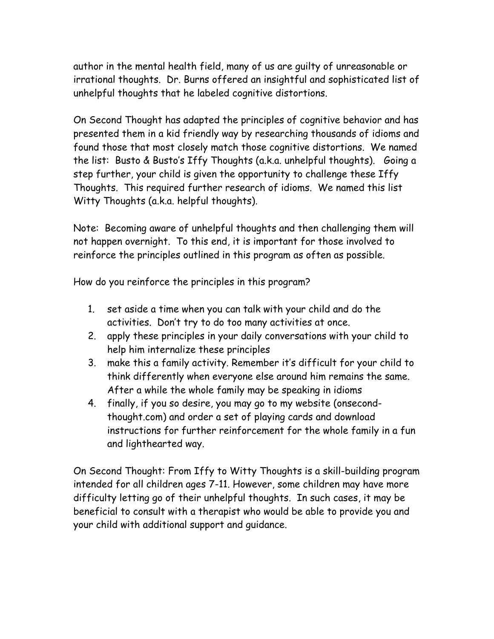author in the mental health field, many of us are guilty of unreasonable or irrational thoughts. Dr. Burns offered an insightful and sophisticated list of unhelpful thoughts that he labeled cognitive distortions.

On Second Thought has adapted the principles of cognitive behavior and has presented them in a kid friendly way by researching thousands of idioms and found those that most closely match those cognitive distortions. We named the list: Busto & Busto's Iffy Thoughts (a.k.a. unhelpful thoughts). Going a step further, your child is given the opportunity to challenge these Iffy Thoughts. This required further research of idioms. We named this list Witty Thoughts (a.k.a. helpful thoughts).

Note: Becoming aware of unhelpful thoughts and then challenging them will not happen overnight. To this end, it is important for those involved to reinforce the principles outlined in this program as often as possible.

How do you reinforce the principles in this program?

- 1. set aside a time when you can talk with your child and do the activities. Don't try to do too many activities at once.
- 2. apply these principles in your daily conversations with your child to help him internalize these principles
- 3. make this a family activity. Remember it's difficult for your child to think differently when everyone else around him remains the same. After a while the whole family may be speaking in idioms
- 4. finally, if you so desire, you may go to my website (onsecondthought.com) and order a set of playing cards and download instructions for further reinforcement for the whole family in a fun and lighthearted way.

On Second Thought: From Iffy to Witty Thoughts is a skill-building program intended for all children ages 7-11. However, some children may have more difficulty letting go of their unhelpful thoughts. In such cases, it may be beneficial to consult with a therapist who would be able to provide you and your child with additional support and guidance.